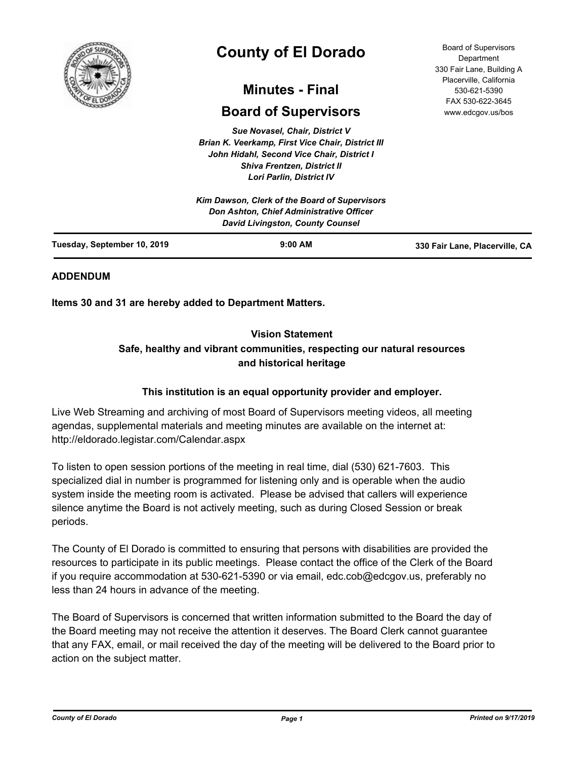

# **County of El Dorado**

## **Minutes - Final**

## **Board of Supervisors**

*Sue Novasel, Chair, District V Brian K. Veerkamp, First Vice Chair, District III John Hidahl, Second Vice Chair, District I Shiva Frentzen, District II Lori Parlin, District IV*

Board of Supervisors Department 330 Fair Lane, Building A Placerville, California 530-621-5390 FAX 530-622-3645 www.edcgov.us/bos

| Tuesday, September 10, 2019 | $9:00$ AM                                                                                                                            | 330 Fair Lane, Placerville, CA |
|-----------------------------|--------------------------------------------------------------------------------------------------------------------------------------|--------------------------------|
|                             | Kim Dawson, Clerk of the Board of Supervisors<br>Don Ashton, Chief Administrative Officer<br><b>David Livingston, County Counsel</b> |                                |

## **ADDENDUM**

**Items 30 and 31 are hereby added to Department Matters.**

## **Vision Statement Safe, healthy and vibrant communities, respecting our natural resources and historical heritage**

## **This institution is an equal opportunity provider and employer.**

Live Web Streaming and archiving of most Board of Supervisors meeting videos, all meeting agendas, supplemental materials and meeting minutes are available on the internet at: http://eldorado.legistar.com/Calendar.aspx

To listen to open session portions of the meeting in real time, dial (530) 621-7603. This specialized dial in number is programmed for listening only and is operable when the audio system inside the meeting room is activated. Please be advised that callers will experience silence anytime the Board is not actively meeting, such as during Closed Session or break periods.

The County of El Dorado is committed to ensuring that persons with disabilities are provided the resources to participate in its public meetings. Please contact the office of the Clerk of the Board if you require accommodation at 530-621-5390 or via email, edc.cob@edcgov.us, preferably no less than 24 hours in advance of the meeting.

The Board of Supervisors is concerned that written information submitted to the Board the day of the Board meeting may not receive the attention it deserves. The Board Clerk cannot guarantee that any FAX, email, or mail received the day of the meeting will be delivered to the Board prior to action on the subject matter.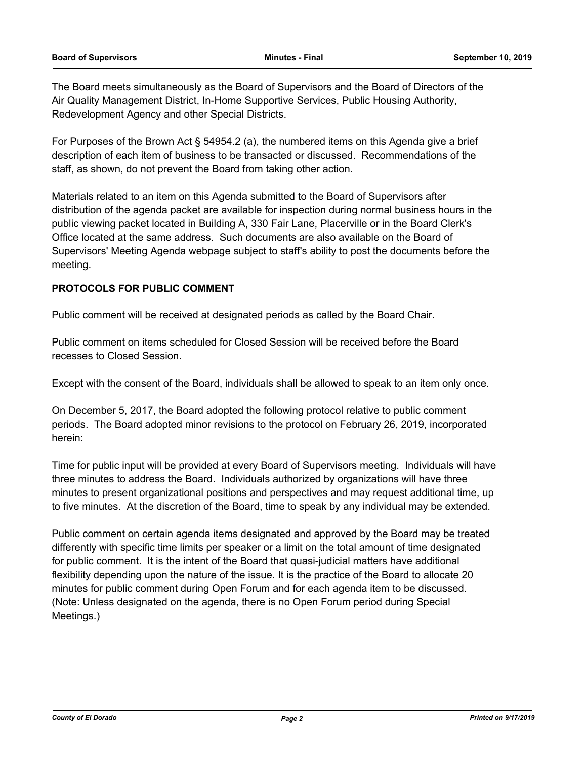The Board meets simultaneously as the Board of Supervisors and the Board of Directors of the Air Quality Management District, In-Home Supportive Services, Public Housing Authority, Redevelopment Agency and other Special Districts.

For Purposes of the Brown Act § 54954.2 (a), the numbered items on this Agenda give a brief description of each item of business to be transacted or discussed. Recommendations of the staff, as shown, do not prevent the Board from taking other action.

Materials related to an item on this Agenda submitted to the Board of Supervisors after distribution of the agenda packet are available for inspection during normal business hours in the public viewing packet located in Building A, 330 Fair Lane, Placerville or in the Board Clerk's Office located at the same address. Such documents are also available on the Board of Supervisors' Meeting Agenda webpage subject to staff's ability to post the documents before the meeting.

## **PROTOCOLS FOR PUBLIC COMMENT**

Public comment will be received at designated periods as called by the Board Chair.

Public comment on items scheduled for Closed Session will be received before the Board recesses to Closed Session.

Except with the consent of the Board, individuals shall be allowed to speak to an item only once.

On December 5, 2017, the Board adopted the following protocol relative to public comment periods. The Board adopted minor revisions to the protocol on February 26, 2019, incorporated herein:

Time for public input will be provided at every Board of Supervisors meeting. Individuals will have three minutes to address the Board. Individuals authorized by organizations will have three minutes to present organizational positions and perspectives and may request additional time, up to five minutes. At the discretion of the Board, time to speak by any individual may be extended.

Public comment on certain agenda items designated and approved by the Board may be treated differently with specific time limits per speaker or a limit on the total amount of time designated for public comment. It is the intent of the Board that quasi-judicial matters have additional flexibility depending upon the nature of the issue. It is the practice of the Board to allocate 20 minutes for public comment during Open Forum and for each agenda item to be discussed. (Note: Unless designated on the agenda, there is no Open Forum period during Special Meetings.)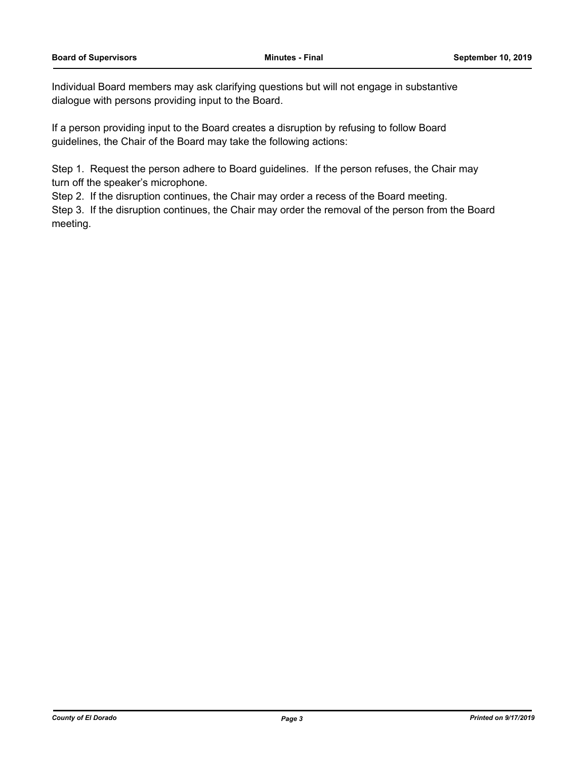Individual Board members may ask clarifying questions but will not engage in substantive dialogue with persons providing input to the Board.

If a person providing input to the Board creates a disruption by refusing to follow Board guidelines, the Chair of the Board may take the following actions:

Step 1. Request the person adhere to Board guidelines. If the person refuses, the Chair may turn off the speaker's microphone.

Step 2. If the disruption continues, the Chair may order a recess of the Board meeting.

Step 3. If the disruption continues, the Chair may order the removal of the person from the Board meeting.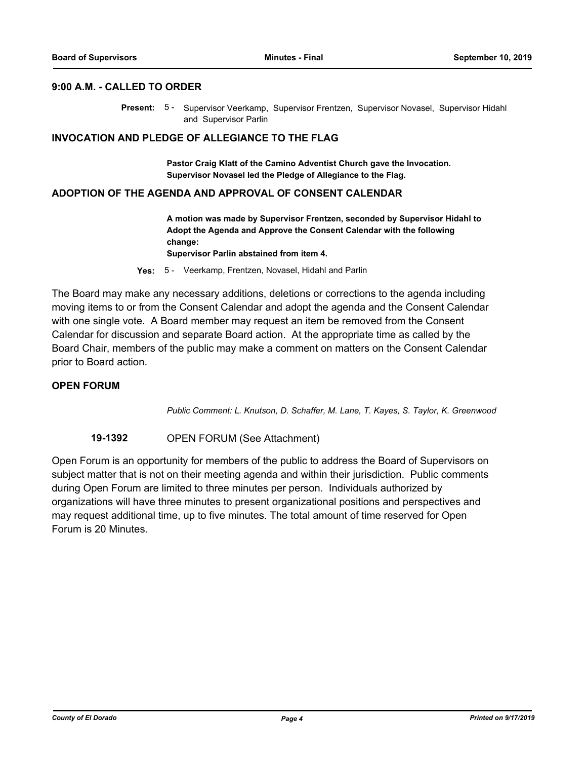#### **9:00 A.M. - CALLED TO ORDER**

Present: 5 - Supervisor Veerkamp, Supervisor Frentzen, Supervisor Novasel, Supervisor Hidahl and Supervisor Parlin

#### **INVOCATION AND PLEDGE OF ALLEGIANCE TO THE FLAG**

**Pastor Craig Klatt of the Camino Adventist Church gave the Invocation. Supervisor Novasel led the Pledge of Allegiance to the Flag.**

#### **ADOPTION OF THE AGENDA AND APPROVAL OF CONSENT CALENDAR**

**A motion was made by Supervisor Frentzen, seconded by Supervisor Hidahl to Adopt the Agenda and Approve the Consent Calendar with the following change:**

**Supervisor Parlin abstained from item 4.**

**Yes:** 5 - Veerkamp, Frentzen, Novasel, Hidahl and Parlin

The Board may make any necessary additions, deletions or corrections to the agenda including moving items to or from the Consent Calendar and adopt the agenda and the Consent Calendar with one single vote. A Board member may request an item be removed from the Consent Calendar for discussion and separate Board action. At the appropriate time as called by the Board Chair, members of the public may make a comment on matters on the Consent Calendar prior to Board action.

#### **OPEN FORUM**

*Public Comment: L. Knutson, D. Schaffer, M. Lane, T. Kayes, S. Taylor, K. Greenwood*

#### **19-1392** OPEN FORUM (See Attachment)

Open Forum is an opportunity for members of the public to address the Board of Supervisors on subject matter that is not on their meeting agenda and within their jurisdiction. Public comments during Open Forum are limited to three minutes per person. Individuals authorized by organizations will have three minutes to present organizational positions and perspectives and may request additional time, up to five minutes. The total amount of time reserved for Open Forum is 20 Minutes.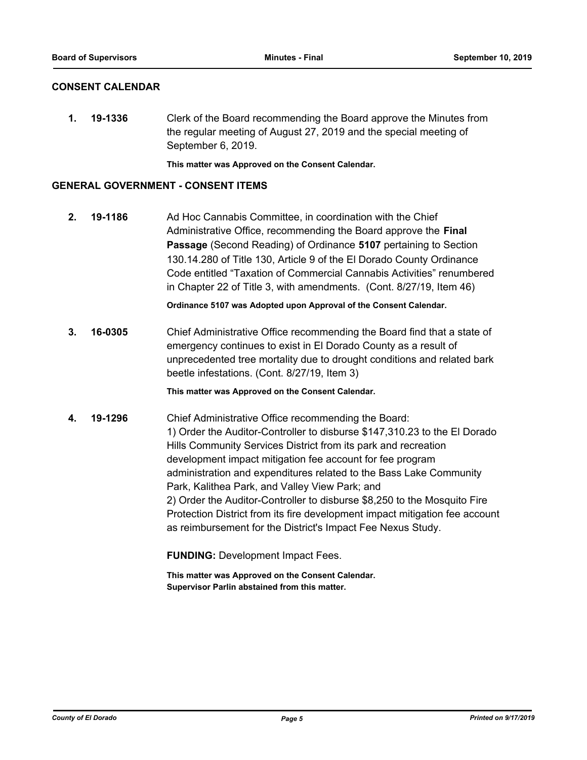#### **CONSENT CALENDAR**

**1. 19-1336** Clerk of the Board recommending the Board approve the Minutes from the regular meeting of August 27, 2019 and the special meeting of September 6, 2019.

**This matter was Approved on the Consent Calendar.**

#### **GENERAL GOVERNMENT - CONSENT ITEMS**

**2. 19-1186** Ad Hoc Cannabis Committee, in coordination with the Chief Administrative Office, recommending the Board approve the **Final Passage** (Second Reading) of Ordinance **5107** pertaining to Section 130.14.280 of Title 130, Article 9 of the El Dorado County Ordinance Code entitled "Taxation of Commercial Cannabis Activities" renumbered in Chapter 22 of Title 3, with amendments. (Cont. 8/27/19, Item 46)

**Ordinance 5107 was Adopted upon Approval of the Consent Calendar.**

**3. 16-0305** Chief Administrative Office recommending the Board find that a state of emergency continues to exist in El Dorado County as a result of unprecedented tree mortality due to drought conditions and related bark beetle infestations. (Cont. 8/27/19, Item 3)

**This matter was Approved on the Consent Calendar.**

**4. 19-1296** Chief Administrative Office recommending the Board: 1) Order the Auditor-Controller to disburse \$147,310.23 to the El Dorado Hills Community Services District from its park and recreation development impact mitigation fee account for fee program administration and expenditures related to the Bass Lake Community Park, Kalithea Park, and Valley View Park; and 2) Order the Auditor-Controller to disburse \$8,250 to the Mosquito Fire Protection District from its fire development impact mitigation fee account as reimbursement for the District's Impact Fee Nexus Study.

**FUNDING: Development Impact Fees.** 

**This matter was Approved on the Consent Calendar. Supervisor Parlin abstained from this matter.**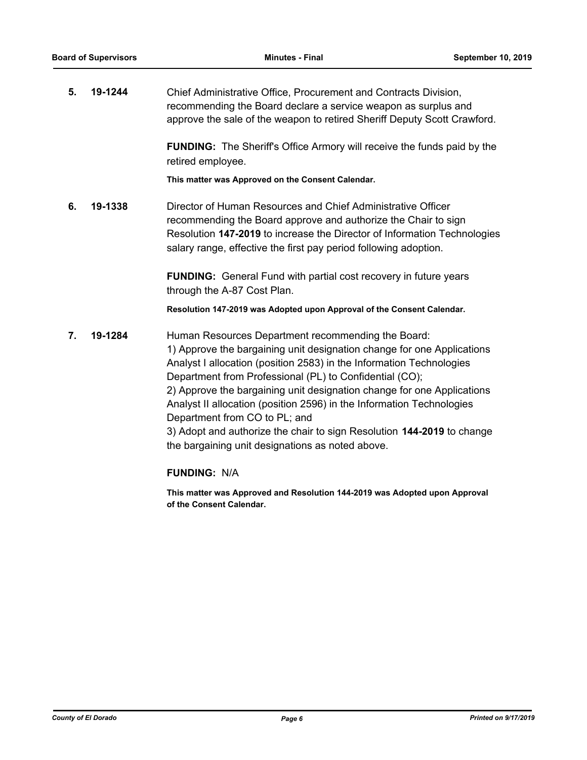**5. 19-1244** Chief Administrative Office, Procurement and Contracts Division, recommending the Board declare a service weapon as surplus and approve the sale of the weapon to retired Sheriff Deputy Scott Crawford.

> **FUNDING:** The Sheriff's Office Armory will receive the funds paid by the retired employee.

**This matter was Approved on the Consent Calendar.**

**6. 19-1338** Director of Human Resources and Chief Administrative Officer recommending the Board approve and authorize the Chair to sign Resolution **147-2019** to increase the Director of Information Technologies salary range, effective the first pay period following adoption.

> **FUNDING:** General Fund with partial cost recovery in future years through the A-87 Cost Plan.

> **Resolution 147-2019 was Adopted upon Approval of the Consent Calendar.**

**7. 19-1284** Human Resources Department recommending the Board: 1) Approve the bargaining unit designation change for one Applications Analyst I allocation (position 2583) in the Information Technologies Department from Professional (PL) to Confidential (CO); 2) Approve the bargaining unit designation change for one Applications Analyst II allocation (position 2596) in the Information Technologies Department from CO to PL; and 3) Adopt and authorize the chair to sign Resolution **144-2019** to change the bargaining unit designations as noted above.

## **FUNDING:** N/A

**This matter was Approved and Resolution 144-2019 was Adopted upon Approval of the Consent Calendar.**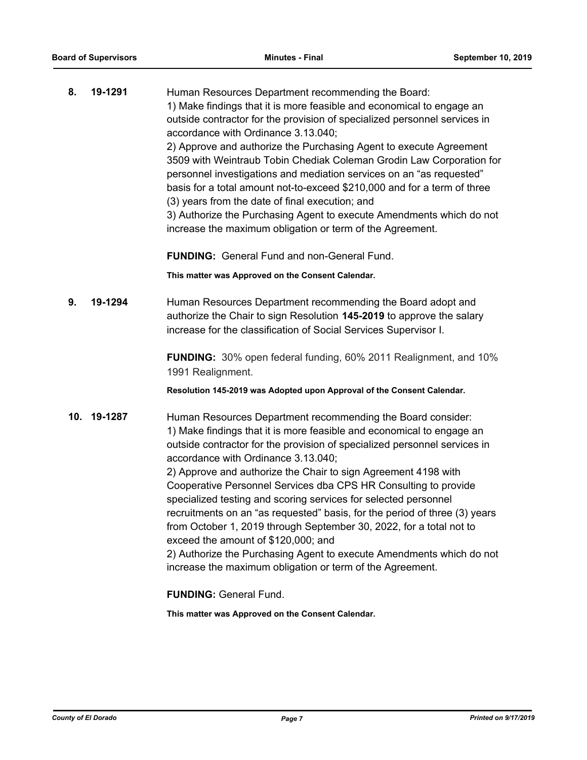| 8. | 19-1291     | Human Resources Department recommending the Board:<br>1) Make findings that it is more feasible and economical to engage an<br>outside contractor for the provision of specialized personnel services in<br>accordance with Ordinance 3.13.040;<br>2) Approve and authorize the Purchasing Agent to execute Agreement<br>3509 with Weintraub Tobin Chediak Coleman Grodin Law Corporation for<br>personnel investigations and mediation services on an "as requested"<br>basis for a total amount not-to-exceed \$210,000 and for a term of three<br>(3) years from the date of final execution; and<br>3) Authorize the Purchasing Agent to execute Amendments which do not<br>increase the maximum obligation or term of the Agreement.                                                         |
|----|-------------|---------------------------------------------------------------------------------------------------------------------------------------------------------------------------------------------------------------------------------------------------------------------------------------------------------------------------------------------------------------------------------------------------------------------------------------------------------------------------------------------------------------------------------------------------------------------------------------------------------------------------------------------------------------------------------------------------------------------------------------------------------------------------------------------------|
|    |             | <b>FUNDING:</b> General Fund and non-General Fund.                                                                                                                                                                                                                                                                                                                                                                                                                                                                                                                                                                                                                                                                                                                                                |
|    |             | This matter was Approved on the Consent Calendar.                                                                                                                                                                                                                                                                                                                                                                                                                                                                                                                                                                                                                                                                                                                                                 |
| 9. | 19-1294     | Human Resources Department recommending the Board adopt and<br>authorize the Chair to sign Resolution 145-2019 to approve the salary<br>increase for the classification of Social Services Supervisor I.                                                                                                                                                                                                                                                                                                                                                                                                                                                                                                                                                                                          |
|    |             | <b>FUNDING:</b> 30% open federal funding, 60% 2011 Realignment, and 10%<br>1991 Realignment.                                                                                                                                                                                                                                                                                                                                                                                                                                                                                                                                                                                                                                                                                                      |
|    |             | Resolution 145-2019 was Adopted upon Approval of the Consent Calendar.                                                                                                                                                                                                                                                                                                                                                                                                                                                                                                                                                                                                                                                                                                                            |
|    | 10. 19-1287 | Human Resources Department recommending the Board consider:<br>1) Make findings that it is more feasible and economical to engage an<br>outside contractor for the provision of specialized personnel services in<br>accordance with Ordinance 3.13.040;<br>2) Approve and authorize the Chair to sign Agreement 4198 with<br>Cooperative Personnel Services dba CPS HR Consulting to provide<br>specialized testing and scoring services for selected personnel<br>recruitments on an "as requested" basis, for the period of three (3) years<br>from October 1, 2019 through September 30, 2022, for a total not to<br>exceed the amount of \$120,000; and<br>2) Authorize the Purchasing Agent to execute Amendments which do not<br>increase the maximum obligation or term of the Agreement. |
|    |             | <b>FUNDING: General Fund.</b>                                                                                                                                                                                                                                                                                                                                                                                                                                                                                                                                                                                                                                                                                                                                                                     |

**This matter was Approved on the Consent Calendar.**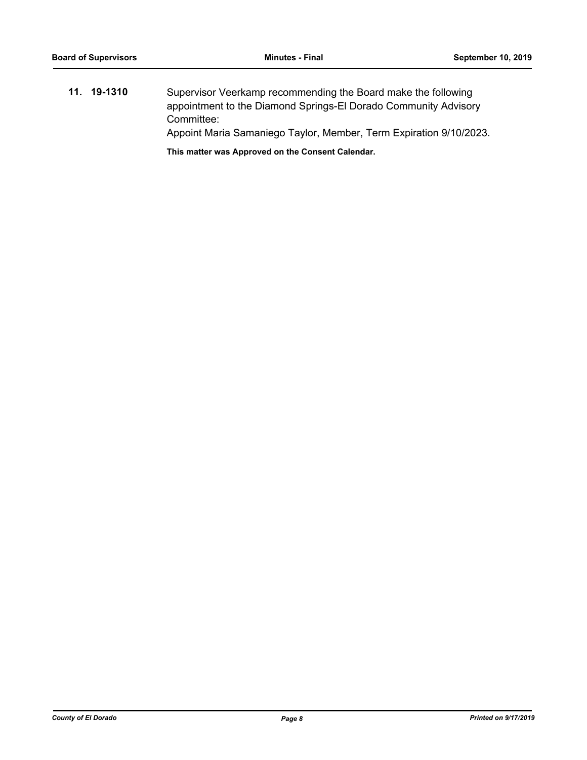**11. 19-1310** Supervisor Veerkamp recommending the Board make the following appointment to the Diamond Springs-El Dorado Community Advisory Committee: Appoint Maria Samaniego Taylor, Member, Term Expiration 9/10/2023.

**This matter was Approved on the Consent Calendar.**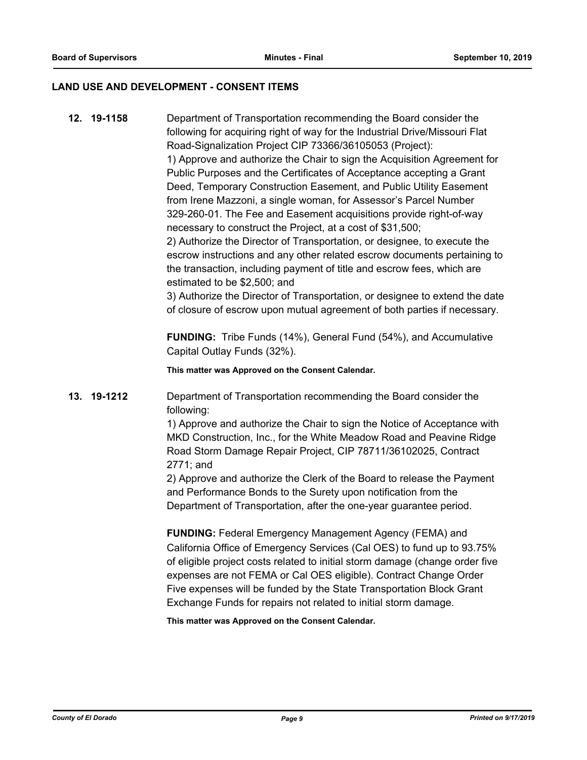#### **LAND USE AND DEVELOPMENT - CONSENT ITEMS**

**12. 19-1158** Department of Transportation recommending the Board consider the following for acquiring right of way for the Industrial Drive/Missouri Flat Road-Signalization Project CIP 73366/36105053 (Project): 1) Approve and authorize the Chair to sign the Acquisition Agreement for Public Purposes and the Certificates of Acceptance accepting a Grant Deed, Temporary Construction Easement, and Public Utility Easement from Irene Mazzoni, a single woman, for Assessor's Parcel Number 329-260-01. The Fee and Easement acquisitions provide right-of-way necessary to construct the Project, at a cost of \$31,500; 2) Authorize the Director of Transportation, or designee, to execute the escrow instructions and any other related escrow documents pertaining to the transaction, including payment of title and escrow fees, which are estimated to be \$2,500; and 3) Authorize the Director of Transportation, or designee to extend the date of closure of escrow upon mutual agreement of both parties if necessary. **FUNDING:** Tribe Funds (14%), General Fund (54%), and Accumulative Capital Outlay Funds (32%). **This matter was Approved on the Consent Calendar. 13. 19-1212** Department of Transportation recommending the Board consider the following: 1) Approve and authorize the Chair to sign the Notice of Acceptance with MKD Construction, Inc., for the White Meadow Road and Peavine Ridge Road Storm Damage Repair Project, CIP 78711/36102025, Contract 2771; and 2) Approve and authorize the Clerk of the Board to release the Payment and Performance Bonds to the Surety upon notification from the Department of Transportation, after the one-year guarantee period. **FUNDING:** Federal Emergency Management Agency (FEMA) and California Office of Emergency Services (Cal OES) to fund up to 93.75% of eligible project costs related to initial storm damage (change order five expenses are not FEMA or Cal OES eligible). Contract Change Order Five expenses will be funded by the State Transportation Block Grant Exchange Funds for repairs not related to initial storm damage. **This matter was Approved on the Consent Calendar.**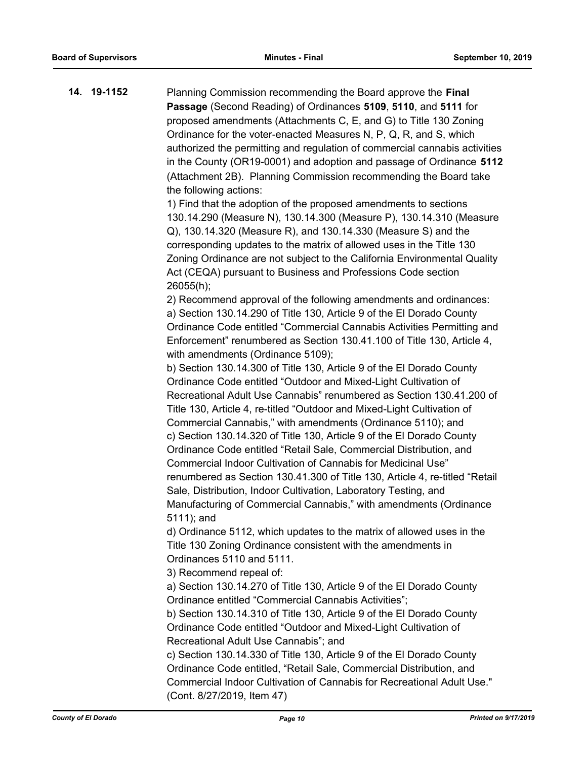**14. 19-1152** Planning Commission recommending the Board approve the **Final Passage** (Second Reading) of Ordinances **5109**, **5110**, and **5111** for proposed amendments (Attachments C, E, and G) to Title 130 Zoning Ordinance for the voter-enacted Measures N, P, Q, R, and S, which authorized the permitting and regulation of commercial cannabis activities in the County (OR19-0001) and adoption and passage of Ordinance **5112** (Attachment 2B). Planning Commission recommending the Board take the following actions:

> 1) Find that the adoption of the proposed amendments to sections 130.14.290 (Measure N), 130.14.300 (Measure P), 130.14.310 (Measure Q), 130.14.320 (Measure R), and 130.14.330 (Measure S) and the corresponding updates to the matrix of allowed uses in the Title 130 Zoning Ordinance are not subject to the California Environmental Quality Act (CEQA) pursuant to Business and Professions Code section 26055(h);

> 2) Recommend approval of the following amendments and ordinances: a) Section 130.14.290 of Title 130, Article 9 of the El Dorado County Ordinance Code entitled "Commercial Cannabis Activities Permitting and Enforcement" renumbered as Section 130.41.100 of Title 130, Article 4, with amendments (Ordinance 5109);

> b) Section 130.14.300 of Title 130, Article 9 of the El Dorado County Ordinance Code entitled "Outdoor and Mixed-Light Cultivation of Recreational Adult Use Cannabis" renumbered as Section 130.41.200 of Title 130, Article 4, re-titled "Outdoor and Mixed-Light Cultivation of Commercial Cannabis," with amendments (Ordinance 5110); and c) Section 130.14.320 of Title 130, Article 9 of the El Dorado County Ordinance Code entitled "Retail Sale, Commercial Distribution, and Commercial Indoor Cultivation of Cannabis for Medicinal Use" renumbered as Section 130.41.300 of Title 130, Article 4, re-titled "Retail Sale, Distribution, Indoor Cultivation, Laboratory Testing, and Manufacturing of Commercial Cannabis," with amendments (Ordinance 5111); and

d) Ordinance 5112, which updates to the matrix of allowed uses in the Title 130 Zoning Ordinance consistent with the amendments in Ordinances 5110 and 5111.

3) Recommend repeal of:

a) Section 130.14.270 of Title 130, Article 9 of the El Dorado County Ordinance entitled "Commercial Cannabis Activities";

b) Section 130.14.310 of Title 130, Article 9 of the El Dorado County Ordinance Code entitled "Outdoor and Mixed-Light Cultivation of Recreational Adult Use Cannabis"; and

c) Section 130.14.330 of Title 130, Article 9 of the El Dorado County Ordinance Code entitled, "Retail Sale, Commercial Distribution, and Commercial Indoor Cultivation of Cannabis for Recreational Adult Use." (Cont. 8/27/2019, Item 47)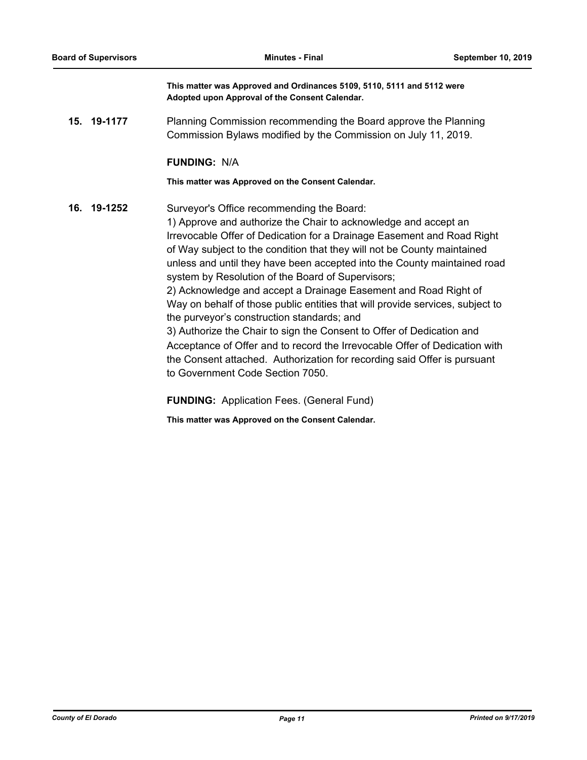**This matter was Approved and Ordinances 5109, 5110, 5111 and 5112 were Adopted upon Approval of the Consent Calendar.**

**15. 19-1177** Planning Commission recommending the Board approve the Planning Commission Bylaws modified by the Commission on July 11, 2019.

#### **FUNDING:** N/A

**This matter was Approved on the Consent Calendar.**

**16. 19-1252** Surveyor's Office recommending the Board: 1) Approve and authorize the Chair to acknowledge and accept an Irrevocable Offer of Dedication for a Drainage Easement and Road Right of Way subject to the condition that they will not be County maintained unless and until they have been accepted into the County maintained road system by Resolution of the Board of Supervisors; 2) Acknowledge and accept a Drainage Easement and Road Right of Way on behalf of those public entities that will provide services, subject to the purveyor's construction standards; and 3) Authorize the Chair to sign the Consent to Offer of Dedication and Acceptance of Offer and to record the Irrevocable Offer of Dedication with the Consent attached. Authorization for recording said Offer is pursuant to Government Code Section 7050.

**FUNDING:** Application Fees. (General Fund)

**This matter was Approved on the Consent Calendar.**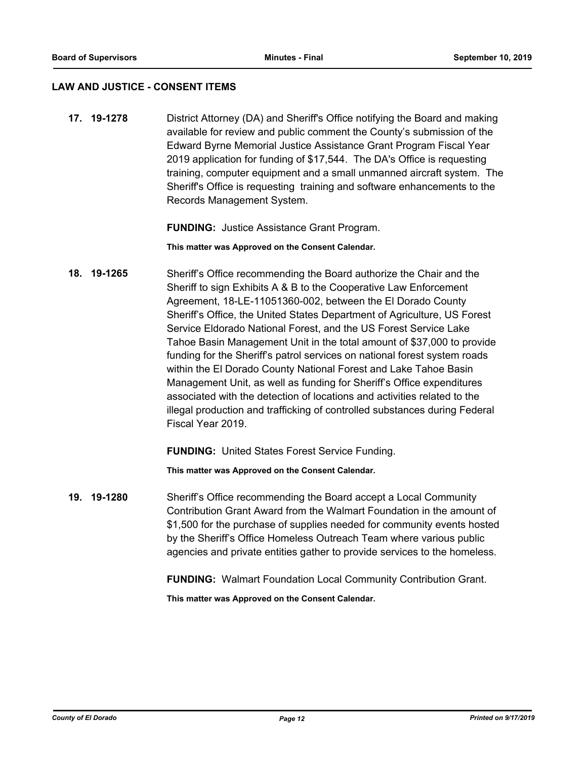#### **LAW AND JUSTICE - CONSENT ITEMS**

**17. 19-1278** District Attorney (DA) and Sheriff's Office notifying the Board and making available for review and public comment the County's submission of the Edward Byrne Memorial Justice Assistance Grant Program Fiscal Year 2019 application for funding of \$17,544. The DA's Office is requesting training, computer equipment and a small unmanned aircraft system. The Sheriff's Office is requesting training and software enhancements to the Records Management System.

**FUNDING:** Justice Assistance Grant Program.

**This matter was Approved on the Consent Calendar.**

**18. 19-1265** Sheriff's Office recommending the Board authorize the Chair and the Sheriff to sign Exhibits A & B to the Cooperative Law Enforcement Agreement, 18-LE-11051360-002, between the El Dorado County Sheriff's Office, the United States Department of Agriculture, US Forest Service Eldorado National Forest, and the US Forest Service Lake Tahoe Basin Management Unit in the total amount of \$37,000 to provide funding for the Sheriff's patrol services on national forest system roads within the El Dorado County National Forest and Lake Tahoe Basin Management Unit, as well as funding for Sheriff's Office expenditures associated with the detection of locations and activities related to the illegal production and trafficking of controlled substances during Federal Fiscal Year 2019.

**FUNDING:** United States Forest Service Funding.

**This matter was Approved on the Consent Calendar.**

**19. 19-1280** Sheriff's Office recommending the Board accept a Local Community Contribution Grant Award from the Walmart Foundation in the amount of \$1,500 for the purchase of supplies needed for community events hosted by the Sheriff's Office Homeless Outreach Team where various public agencies and private entities gather to provide services to the homeless.

**FUNDING:** Walmart Foundation Local Community Contribution Grant.

**This matter was Approved on the Consent Calendar.**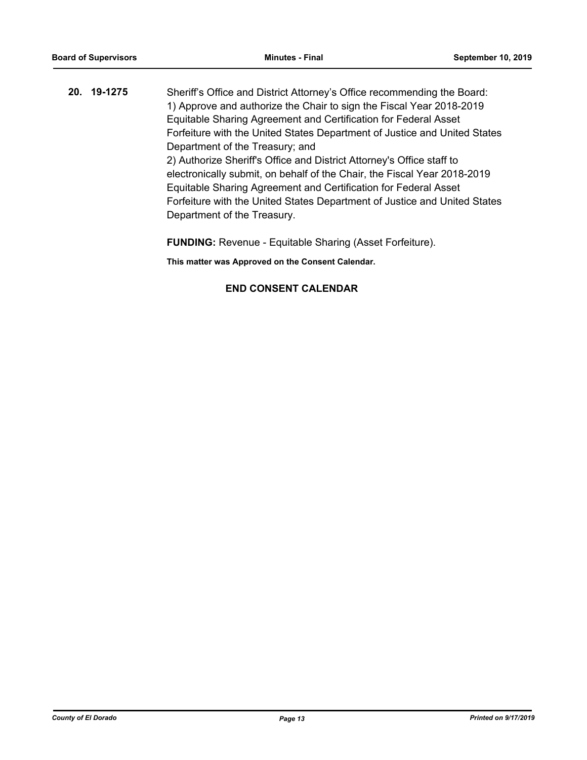**20. 19-1275** Sheriff's Office and District Attorney's Office recommending the Board: 1) Approve and authorize the Chair to sign the Fiscal Year 2018-2019 Equitable Sharing Agreement and Certification for Federal Asset Forfeiture with the United States Department of Justice and United States Department of the Treasury; and 2) Authorize Sheriff's Office and District Attorney's Office staff to electronically submit, on behalf of the Chair, the Fiscal Year 2018-2019 Equitable Sharing Agreement and Certification for Federal Asset Forfeiture with the United States Department of Justice and United States Department of the Treasury.

**FUNDING:** Revenue - Equitable Sharing (Asset Forfeiture).

**This matter was Approved on the Consent Calendar.**

## **END CONSENT CALENDAR**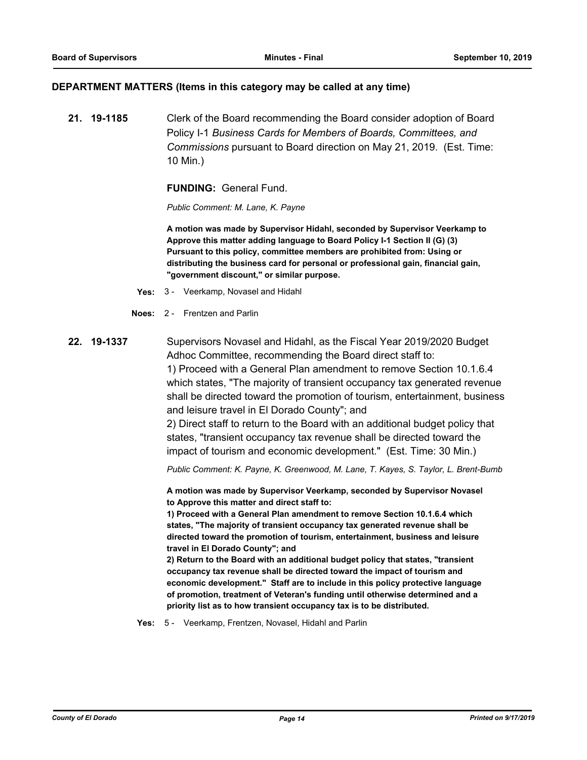#### **DEPARTMENT MATTERS (Items in this category may be called at any time)**

**21. 19-1185** Clerk of the Board recommending the Board consider adoption of Board Policy I-1 *Business Cards for Members of Boards, Committees, and Commissions* pursuant to Board direction on May 21, 2019. (Est. Time: 10 Min.)

**FUNDING:** General Fund.

*Public Comment: M. Lane, K. Payne*

**A motion was made by Supervisor Hidahl, seconded by Supervisor Veerkamp to Approve this matter adding language to Board Policy I-1 Section II (G) (3) Pursuant to this policy, committee members are prohibited from: Using or distributing the business card for personal or professional gain, financial gain, "government discount," or similar purpose.**

- **Yes:** 3 Veerkamp, Novasel and Hidahl
- **Noes:** 2 Frentzen and Parlin
- **22. 19-1337** Supervisors Novasel and Hidahl, as the Fiscal Year 2019/2020 Budget Adhoc Committee, recommending the Board direct staff to: 1) Proceed with a General Plan amendment to remove Section 10.1.6.4 which states, "The majority of transient occupancy tax generated revenue shall be directed toward the promotion of tourism, entertainment, business and leisure travel in El Dorado County"; and 2) Direct staff to return to the Board with an additional budget policy that states, "transient occupancy tax revenue shall be directed toward the impact of tourism and economic development." (Est. Time: 30 Min.) *Public Comment: K. Payne, K. Greenwood, M. Lane, T. Kayes, S. Taylor, L. Brent-Bumb*

**A motion was made by Supervisor Veerkamp, seconded by Supervisor Novasel to Approve this matter and direct staff to:**

**1) Proceed with a General Plan amendment to remove Section 10.1.6.4 which states, "The majority of transient occupancy tax generated revenue shall be directed toward the promotion of tourism, entertainment, business and leisure travel in El Dorado County"; and**

**2) Return to the Board with an additional budget policy that states, "transient occupancy tax revenue shall be directed toward the impact of tourism and economic development." Staff are to include in this policy protective language of promotion, treatment of Veteran's funding until otherwise determined and a priority list as to how transient occupancy tax is to be distributed.**

**Yes:** 5 - Veerkamp, Frentzen, Novasel, Hidahl and Parlin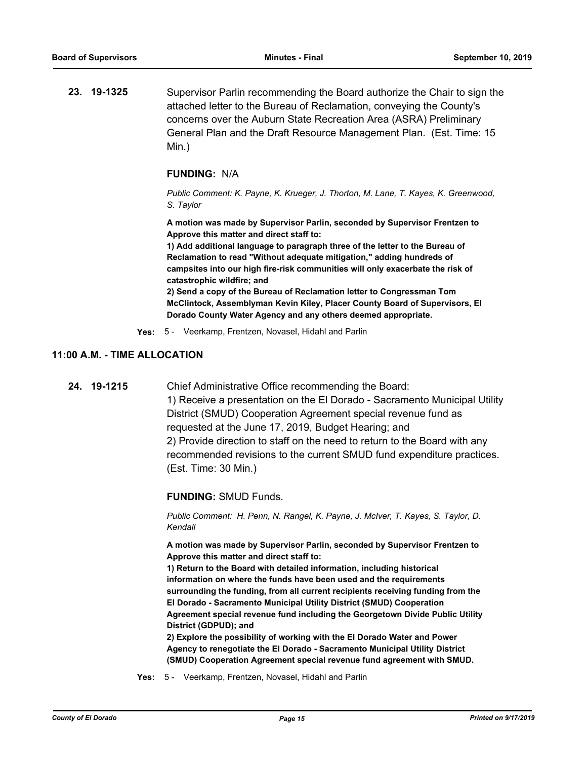**23. 19-1325** Supervisor Parlin recommending the Board authorize the Chair to sign the attached letter to the Bureau of Reclamation, conveying the County's concerns over the Auburn State Recreation Area (ASRA) Preliminary General Plan and the Draft Resource Management Plan. (Est. Time: 15 Min.)

#### **FUNDING:** N/A

*Public Comment: K. Payne, K. Krueger, J. Thorton, M. Lane, T. Kayes, K. Greenwood, S. Taylor*

**A motion was made by Supervisor Parlin, seconded by Supervisor Frentzen to Approve this matter and direct staff to:**

**1) Add additional language to paragraph three of the letter to the Bureau of Reclamation to read "Without adequate mitigation," adding hundreds of campsites into our high fire-risk communities will only exacerbate the risk of catastrophic wildfire; and**

**2) Send a copy of the Bureau of Reclamation letter to Congressman Tom McClintock, Assemblyman Kevin Kiley, Placer County Board of Supervisors, El Dorado County Water Agency and any others deemed appropriate.**

**Yes:** 5 - Veerkamp, Frentzen, Novasel, Hidahl and Parlin

#### **11:00 A.M. - TIME ALLOCATION**

**24. 19-1215** Chief Administrative Office recommending the Board: 1) Receive a presentation on the El Dorado - Sacramento Municipal Utility District (SMUD) Cooperation Agreement special revenue fund as requested at the June 17, 2019, Budget Hearing; and 2) Provide direction to staff on the need to return to the Board with any recommended revisions to the current SMUD fund expenditure practices. (Est. Time: 30 Min.)

**FUNDING:** SMUD Funds.

*Public Comment: H. Penn, N. Rangel, K. Payne, J. McIver, T. Kayes, S. Taylor, D. Kendall*

**A motion was made by Supervisor Parlin, seconded by Supervisor Frentzen to Approve this matter and direct staff to:**

**1) Return to the Board with detailed information, including historical information on where the funds have been used and the requirements surrounding the funding, from all current recipients receiving funding from the El Dorado - Sacramento Municipal Utility District (SMUD) Cooperation Agreement special revenue fund including the Georgetown Divide Public Utility District (GDPUD); and**

**2) Explore the possibility of working with the El Dorado Water and Power Agency to renegotiate the El Dorado - Sacramento Municipal Utility District (SMUD) Cooperation Agreement special revenue fund agreement with SMUD.**

**Yes:** 5 - Veerkamp, Frentzen, Novasel, Hidahl and Parlin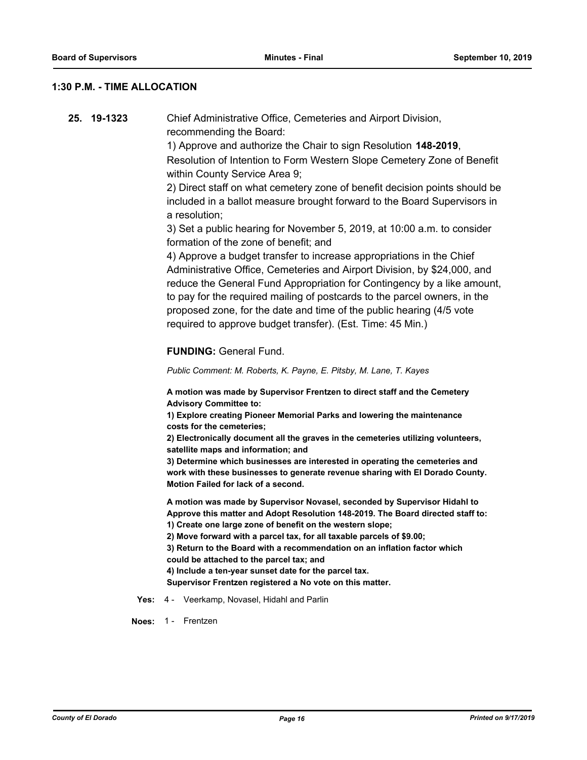#### **1:30 P.M. - TIME ALLOCATION**

**25. 19-1323** Chief Administrative Office, Cemeteries and Airport Division, recommending the Board:

> 1) Approve and authorize the Chair to sign Resolution **148-2019**, Resolution of Intention to Form Western Slope Cemetery Zone of Benefit within County Service Area 9;

> 2) Direct staff on what cemetery zone of benefit decision points should be included in a ballot measure brought forward to the Board Supervisors in a resolution;

3) Set a public hearing for November 5, 2019, at 10:00 a.m. to consider formation of the zone of benefit; and

4) Approve a budget transfer to increase appropriations in the Chief Administrative Office, Cemeteries and Airport Division, by \$24,000, and reduce the General Fund Appropriation for Contingency by a like amount, to pay for the required mailing of postcards to the parcel owners, in the proposed zone, for the date and time of the public hearing (4/5 vote required to approve budget transfer). (Est. Time: 45 Min.)

#### **FUNDING:** General Fund.

*Public Comment: M. Roberts, K. Payne, E. Pitsby, M. Lane, T. Kayes*

**A motion was made by Supervisor Frentzen to direct staff and the Cemetery Advisory Committee to:**

**1) Explore creating Pioneer Memorial Parks and lowering the maintenance costs for the cemeteries;**

**2) Electronically document all the graves in the cemeteries utilizing volunteers, satellite maps and information; and**

**3) Determine which businesses are interested in operating the cemeteries and work with these businesses to generate revenue sharing with El Dorado County. Motion Failed for lack of a second.**

**A motion was made by Supervisor Novasel, seconded by Supervisor Hidahl to Approve this matter and Adopt Resolution 148-2019. The Board directed staff to:**

**1) Create one large zone of benefit on the western slope;**

**2) Move forward with a parcel tax, for all taxable parcels of \$9.00;**

**3) Return to the Board with a recommendation on an inflation factor which could be attached to the parcel tax; and**

**4) Include a ten-year sunset date for the parcel tax.**

**Supervisor Frentzen registered a No vote on this matter.**

**Yes:** 4 - Veerkamp, Novasel, Hidahl and Parlin

**Noes:** 1 - Frentzen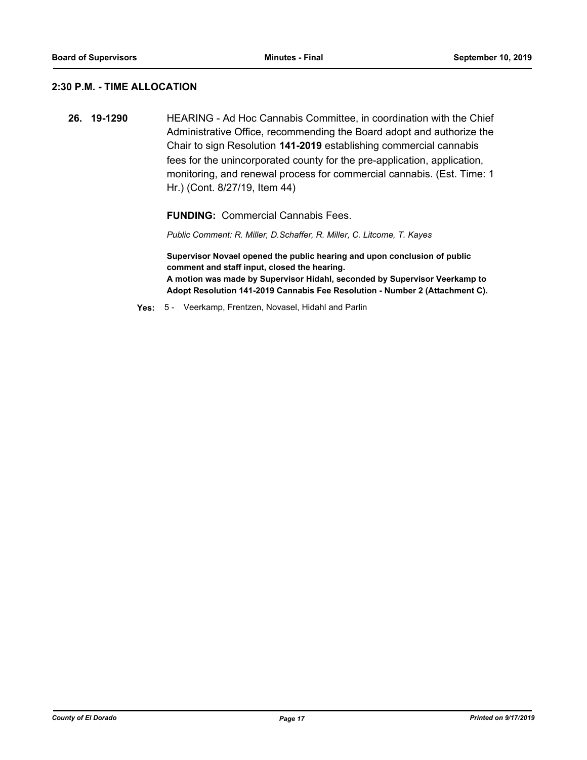### **2:30 P.M. - TIME ALLOCATION**

**26. 19-1290** HEARING - Ad Hoc Cannabis Committee, in coordination with the Chief Administrative Office, recommending the Board adopt and authorize the Chair to sign Resolution **141-2019** establishing commercial cannabis fees for the unincorporated county for the pre-application, application, monitoring, and renewal process for commercial cannabis. (Est. Time: 1 Hr.) (Cont. 8/27/19, Item 44)

**FUNDING:** Commercial Cannabis Fees.

*Public Comment: R. Miller, D.Schaffer, R. Miller, C. Litcome, T. Kayes*

**Supervisor Novael opened the public hearing and upon conclusion of public comment and staff input, closed the hearing. A motion was made by Supervisor Hidahl, seconded by Supervisor Veerkamp to Adopt Resolution 141-2019 Cannabis Fee Resolution - Number 2 (Attachment C).**

**Yes:** 5 - Veerkamp, Frentzen, Novasel, Hidahl and Parlin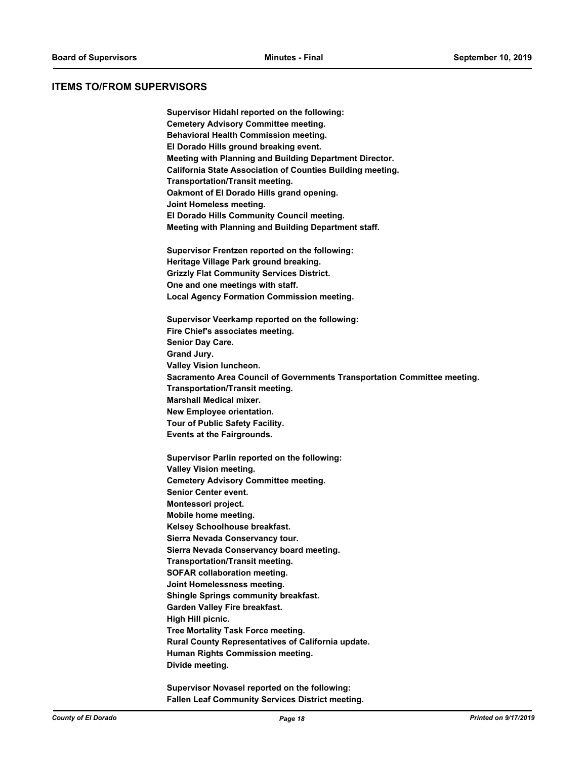#### **ITEMS TO/FROM SUPERVISORS**

**Supervisor Hidahl reported on the following: Cemetery Advisory Committee meeting. Behavioral Health Commission meeting. El Dorado Hills ground breaking event. Meeting with Planning and Building Department Director. California State Association of Counties Building meeting. Transportation/Transit meeting. Oakmont of El Dorado Hills grand opening. Joint Homeless meeting. El Dorado Hills Community Council meeting. Meeting with Planning and Building Department staff. Supervisor Frentzen reported on the following: Heritage Village Park ground breaking. Grizzly Flat Community Services District. One and one meetings with staff. Local Agency Formation Commission meeting. Supervisor Veerkamp reported on the following: Fire Chief's associates meeting. Senior Day Care. Grand Jury. Valley Vision luncheon. Sacramento Area Council of Governments Transportation Committee meeting. Transportation/Transit meeting. Marshall Medical mixer. New Employee orientation. Tour of Public Safety Facility. Events at the Fairgrounds. Supervisor Parlin reported on the following: Valley Vision meeting. Cemetery Advisory Committee meeting. Senior Center event. Montessori project. Mobile home meeting. Kelsey Schoolhouse breakfast. Sierra Nevada Conservancy tour. Sierra Nevada Conservancy board meeting. Transportation/Transit meeting. SOFAR collaboration meeting. Joint Homelessness meeting. Shingle Springs community breakfast. Garden Valley Fire breakfast. High Hill picnic. Tree Mortality Task Force meeting. Rural County Representatives of California update. Human Rights Commission meeting. Divide meeting.**

**Supervisor Novasel reported on the following: Fallen Leaf Community Services District meeting.**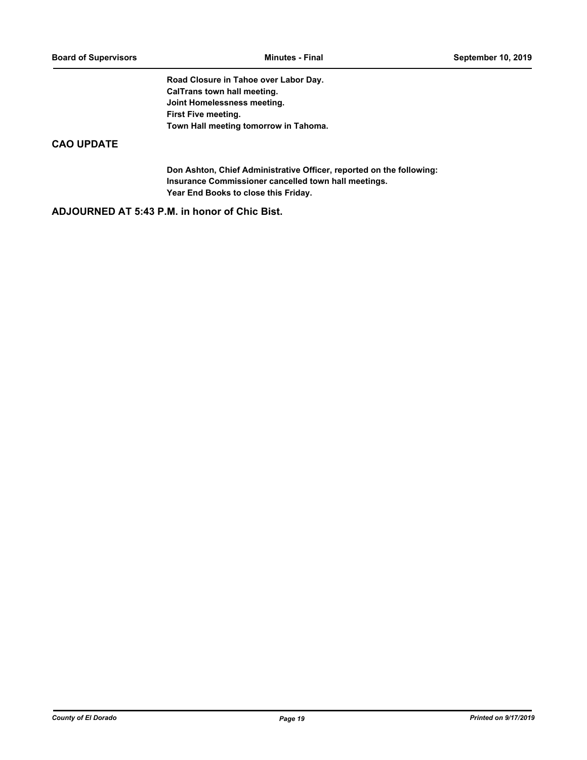**Road Closure in Tahoe over Labor Day. CalTrans town hall meeting. Joint Homelessness meeting. First Five meeting. Town Hall meeting tomorrow in Tahoma.**

## **CAO UPDATE**

**Don Ashton, Chief Administrative Officer, reported on the following: Insurance Commissioner cancelled town hall meetings. Year End Books to close this Friday.**

**ADJOURNED AT 5:43 P.M. in honor of Chic Bist.**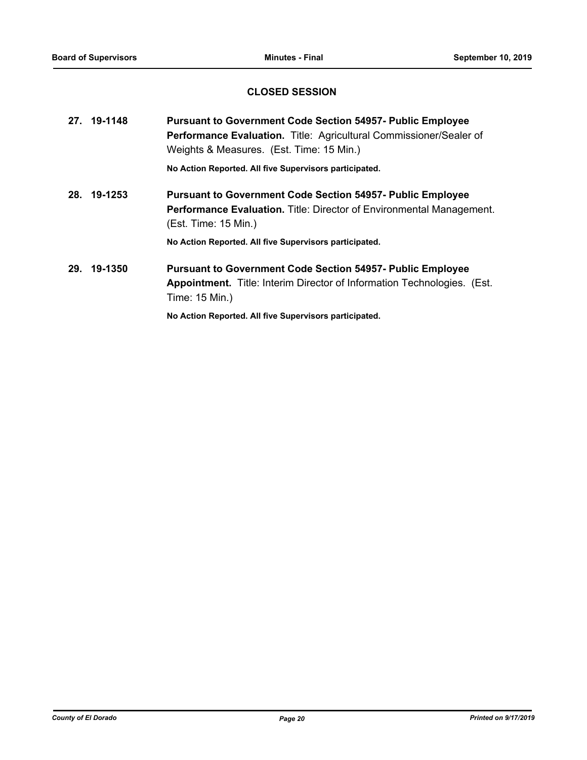## **CLOSED SESSION**

|     | 27. 19-1148 | <b>Pursuant to Government Code Section 54957- Public Employee</b><br>Performance Evaluation. Title: Agricultural Commissioner/Sealer of<br>Weights & Measures. (Est. Time: 15 Min.) |
|-----|-------------|-------------------------------------------------------------------------------------------------------------------------------------------------------------------------------------|
|     |             | No Action Reported. All five Supervisors participated.                                                                                                                              |
| 28. | 19-1253     | <b>Pursuant to Government Code Section 54957- Public Employee</b><br><b>Performance Evaluation.</b> Title: Director of Environmental Management.<br>(Est. Time: 15 Min.)            |
|     |             | No Action Reported. All five Supervisors participated.                                                                                                                              |
| 29. | 19-1350     | <b>Pursuant to Government Code Section 54957- Public Employee</b><br><b>Appointment.</b> Title: Interim Director of Information Technologies. (Est.<br>Time: 15 Min.)               |
|     |             | No Action Reported. All five Supervisors participated.                                                                                                                              |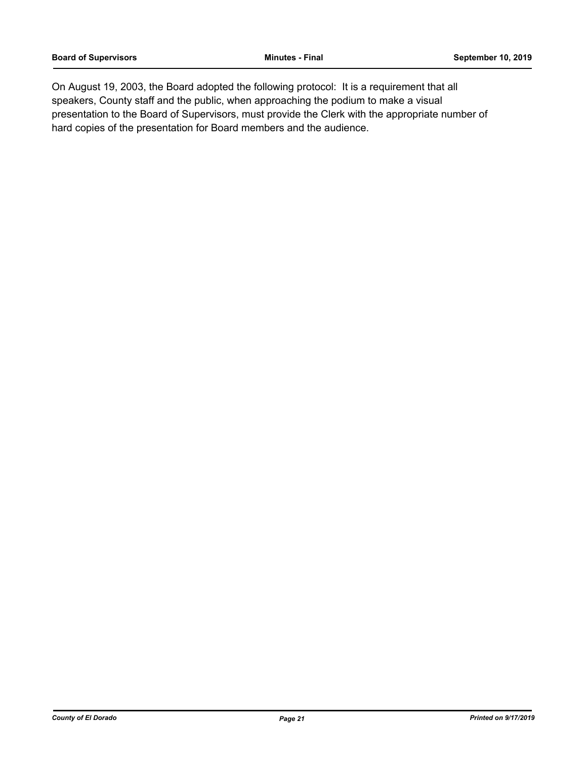On August 19, 2003, the Board adopted the following protocol: It is a requirement that all speakers, County staff and the public, when approaching the podium to make a visual presentation to the Board of Supervisors, must provide the Clerk with the appropriate number of hard copies of the presentation for Board members and the audience.